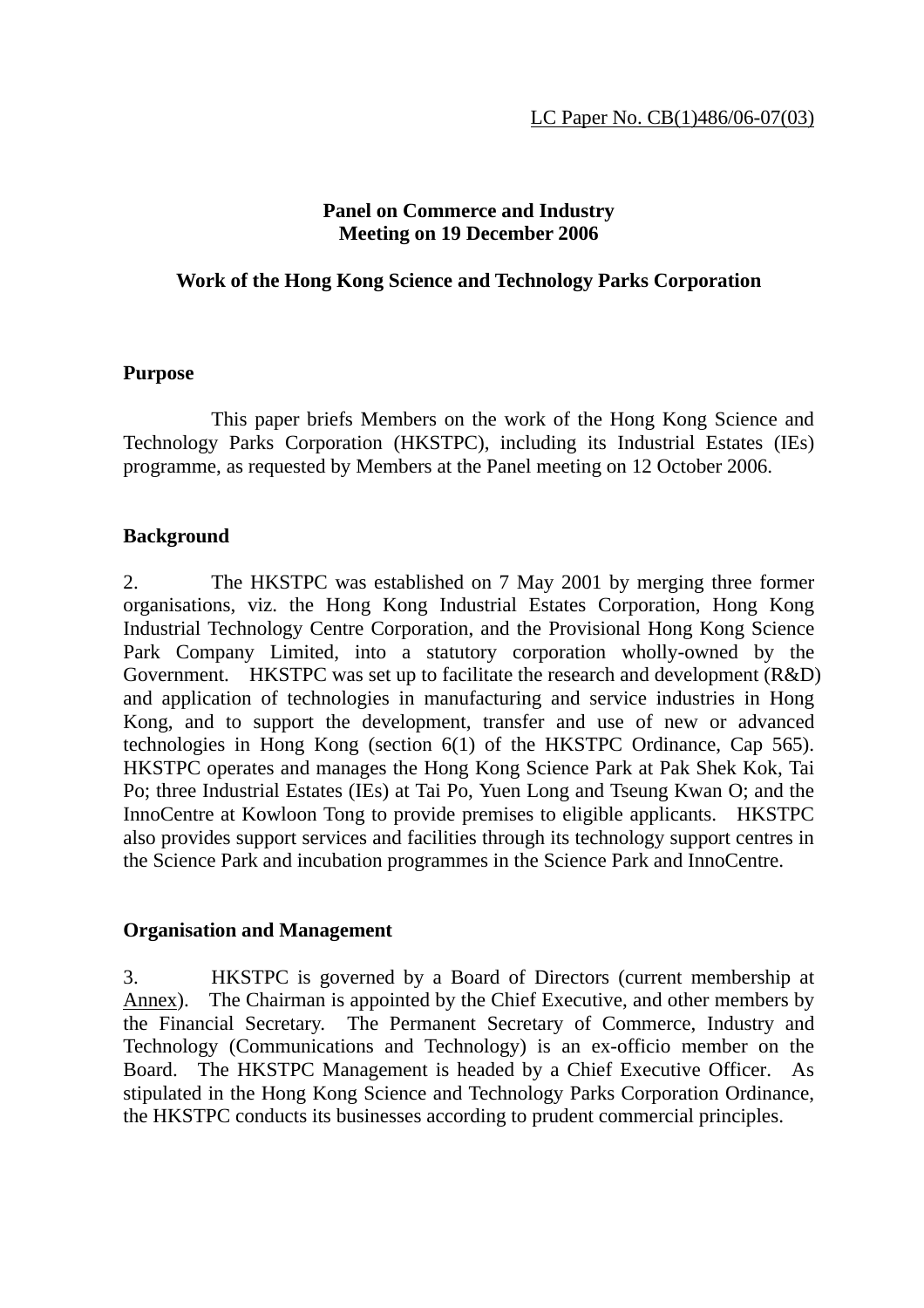## **Panel on Commerce and Industry Meeting on 19 December 2006**

#### **Work of the Hong Kong Science and Technology Parks Corporation**

#### **Purpose**

 This paper briefs Members on the work of the Hong Kong Science and Technology Parks Corporation (HKSTPC), including its Industrial Estates (IEs) programme, as requested by Members at the Panel meeting on 12 October 2006.

## **Background**

2. The HKSTPC was established on 7 May 2001 by merging three former organisations, viz. the Hong Kong Industrial Estates Corporation, Hong Kong Industrial Technology Centre Corporation, and the Provisional Hong Kong Science Park Company Limited, into a statutory corporation wholly-owned by the Government. HKSTPC was set up to facilitate the research and development (R&D) and application of technologies in manufacturing and service industries in Hong Kong, and to support the development, transfer and use of new or advanced technologies in Hong Kong (section 6(1) of the HKSTPC Ordinance, Cap 565). HKSTPC operates and manages the Hong Kong Science Park at Pak Shek Kok, Tai Po; three Industrial Estates (IEs) at Tai Po, Yuen Long and Tseung Kwan O; and the InnoCentre at Kowloon Tong to provide premises to eligible applicants. HKSTPC also provides support services and facilities through its technology support centres in the Science Park and incubation programmes in the Science Park and InnoCentre.

#### **Organisation and Management**

3. HKSTPC is governed by a Board of Directors (current membership at Annex). The Chairman is appointed by the Chief Executive, and other members by the Financial Secretary. The Permanent Secretary of Commerce, Industry and Technology (Communications and Technology) is an ex-officio member on the Board. The HKSTPC Management is headed by a Chief Executive Officer. As stipulated in the Hong Kong Science and Technology Parks Corporation Ordinance, the HKSTPC conducts its businesses according to prudent commercial principles.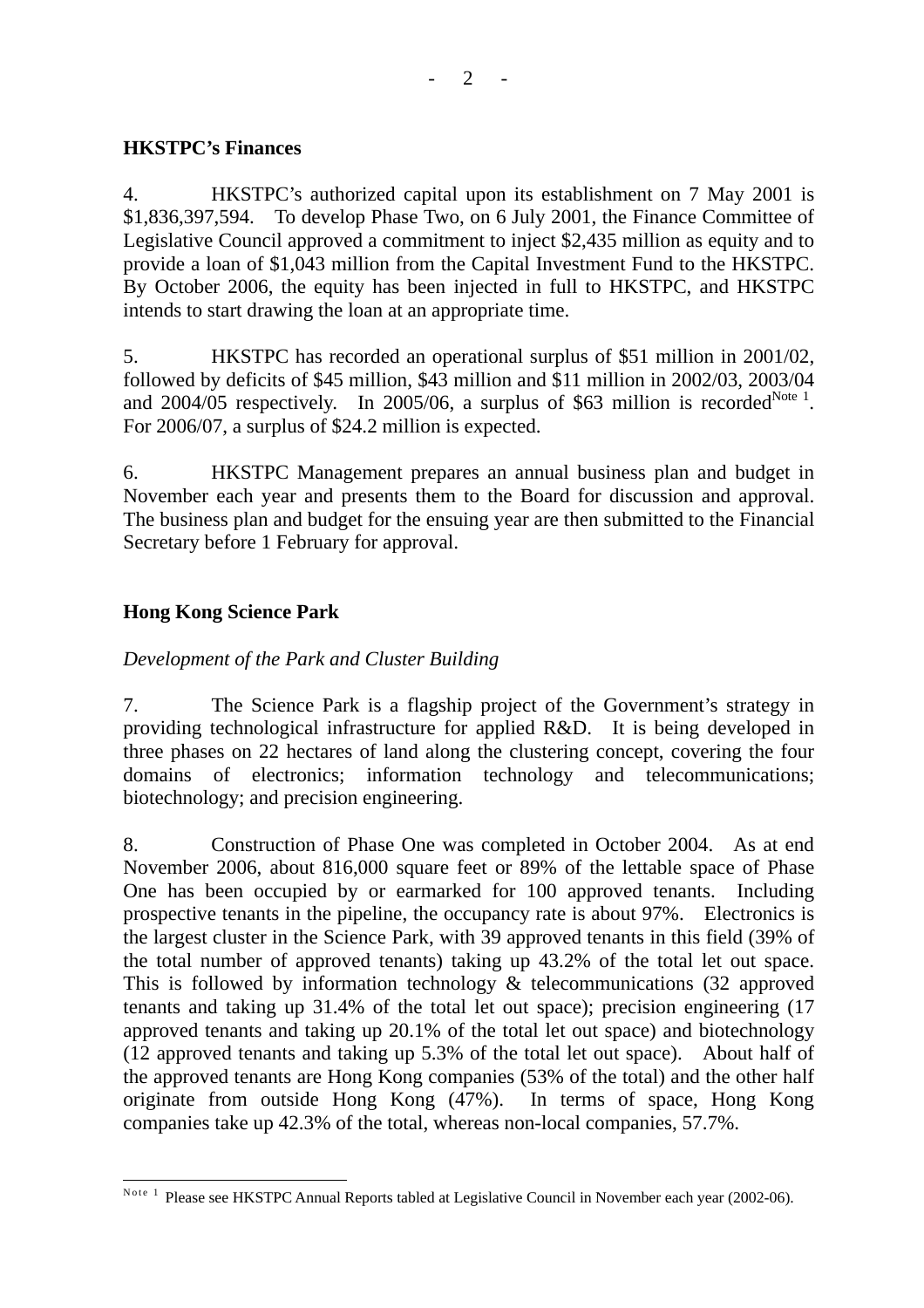## **HKSTPC's Finances**

4. HKSTPC's authorized capital upon its establishment on 7 May 2001 is \$1,836,397,594. To develop Phase Two, on 6 July 2001, the Finance Committee of Legislative Council approved a commitment to inject \$2,435 million as equity and to provide a loan of \$1,043 million from the Capital Investment Fund to the HKSTPC. By October 2006, the equity has been injected in full to HKSTPC, and HKSTPC intends to start drawing the loan at an appropriate time.

5. HKSTPC has recorded an operational surplus of \$51 million in 2001/02, followed by deficits of \$45 million, \$43 million and \$11 million in 2002/03, 2003/04 and 2004/05 respectively. In 2005/06, a surplus of \$63 million is recorded<sup>Note 1</sup>. For 2006/07, a surplus of \$24.2 million is expected.

6. HKSTPC Management prepares an annual business plan and budget in November each year and presents them to the Board for discussion and approval. The business plan and budget for the ensuing year are then submitted to the Financial Secretary before 1 February for approval.

# **Hong Kong Science Park**

# *Development of the Park and Cluster Building*

7. The Science Park is a flagship project of the Government's strategy in providing technological infrastructure for applied R&D. It is being developed in three phases on 22 hectares of land along the clustering concept, covering the four domains of electronics; information technology and telecommunications; biotechnology; and precision engineering.

8. Construction of Phase One was completed in October 2004. As at end November 2006, about 816,000 square feet or 89% of the lettable space of Phase One has been occupied by or earmarked for 100 approved tenants. Including prospective tenants in the pipeline, the occupancy rate is about 97%. Electronics is the largest cluster in the Science Park, with 39 approved tenants in this field (39% of the total number of approved tenants) taking up 43.2% of the total let out space. This is followed by information technology & telecommunications (32 approved tenants and taking up 31.4% of the total let out space); precision engineering (17 approved tenants and taking up 20.1% of the total let out space) and biotechnology (12 approved tenants and taking up 5.3% of the total let out space). About half of the approved tenants are Hong Kong companies (53% of the total) and the other half originate from outside Hong Kong (47%). In terms of space, Hong Kong companies take up 42.3% of the total, whereas non-local companies, 57.7%.

 $\overline{a}$ Note <sup>1</sup> Please see HKSTPC Annual Reports tabled at Legislative Council in November each year (2002-06).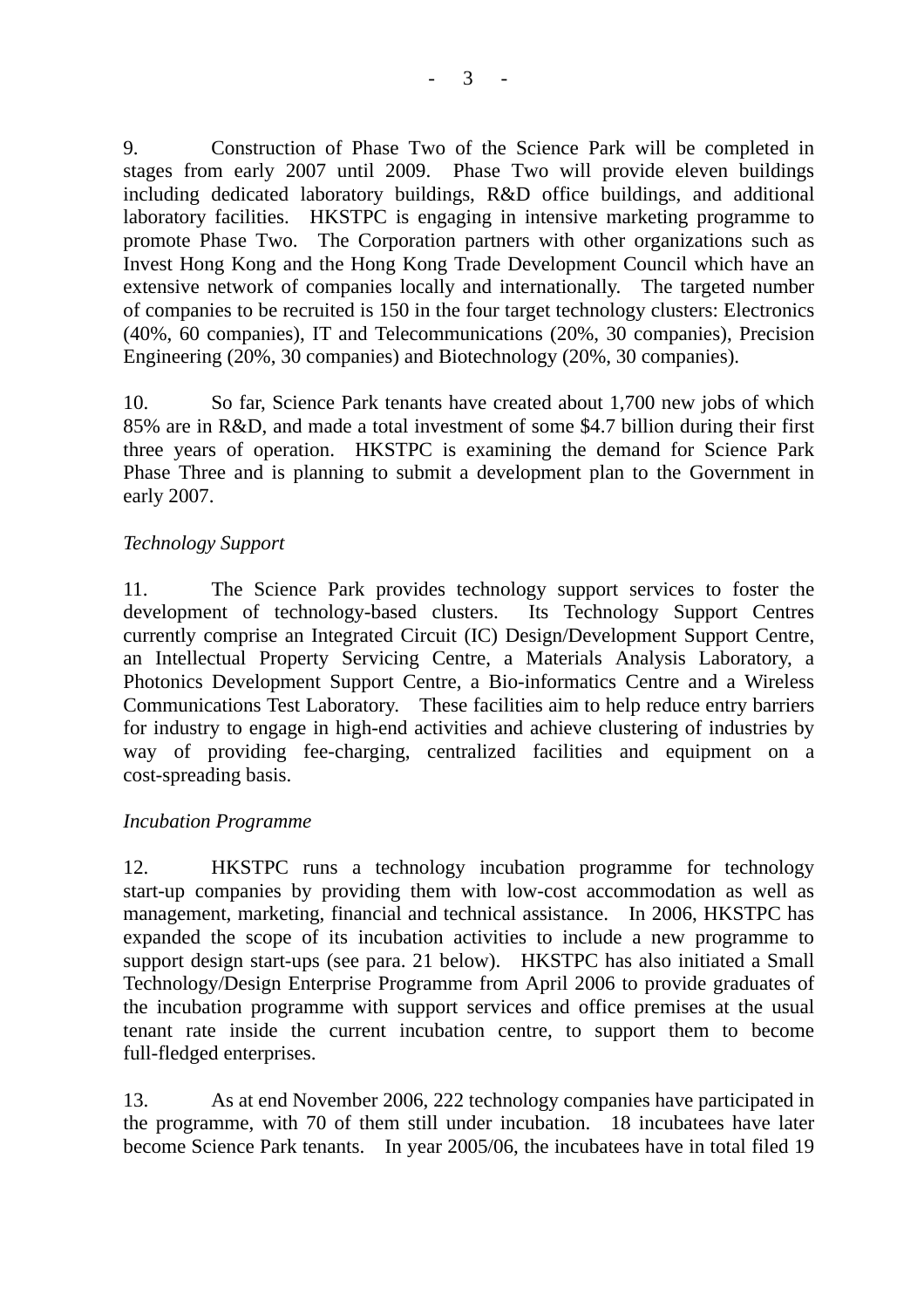9. Construction of Phase Two of the Science Park will be completed in stages from early 2007 until 2009. Phase Two will provide eleven buildings including dedicated laboratory buildings, R&D office buildings, and additional laboratory facilities. HKSTPC is engaging in intensive marketing programme to promote Phase Two. The Corporation partners with other organizations such as Invest Hong Kong and the Hong Kong Trade Development Council which have an extensive network of companies locally and internationally. The targeted number of companies to be recruited is 150 in the four target technology clusters: Electronics (40%, 60 companies), IT and Telecommunications (20%, 30 companies), Precision Engineering (20%, 30 companies) and Biotechnology (20%, 30 companies).

10. So far, Science Park tenants have created about 1,700 new jobs of which 85% are in R&D, and made a total investment of some \$4.7 billion during their first three years of operation. HKSTPC is examining the demand for Science Park Phase Three and is planning to submit a development plan to the Government in early 2007.

## *Technology Support*

11. The Science Park provides technology support services to foster the development of technology-based clusters. Its Technology Support Centres currently comprise an Integrated Circuit (IC) Design/Development Support Centre, an Intellectual Property Servicing Centre, a Materials Analysis Laboratory, a Photonics Development Support Centre, a Bio-informatics Centre and a Wireless Communications Test Laboratory. These facilities aim to help reduce entry barriers for industry to engage in high-end activities and achieve clustering of industries by way of providing fee-charging, centralized facilities and equipment on a cost-spreading basis.

## *Incubation Programme*

12. HKSTPC runs a technology incubation programme for technology start-up companies by providing them with low-cost accommodation as well as management, marketing, financial and technical assistance. In 2006, HKSTPC has expanded the scope of its incubation activities to include a new programme to support design start-ups (see para. 21 below). HKSTPC has also initiated a Small Technology/Design Enterprise Programme from April 2006 to provide graduates of the incubation programme with support services and office premises at the usual tenant rate inside the current incubation centre, to support them to become full-fledged enterprises.

13. As at end November 2006, 222 technology companies have participated in the programme, with 70 of them still under incubation. 18 incubatees have later become Science Park tenants. In year 2005/06, the incubatees have in total filed 19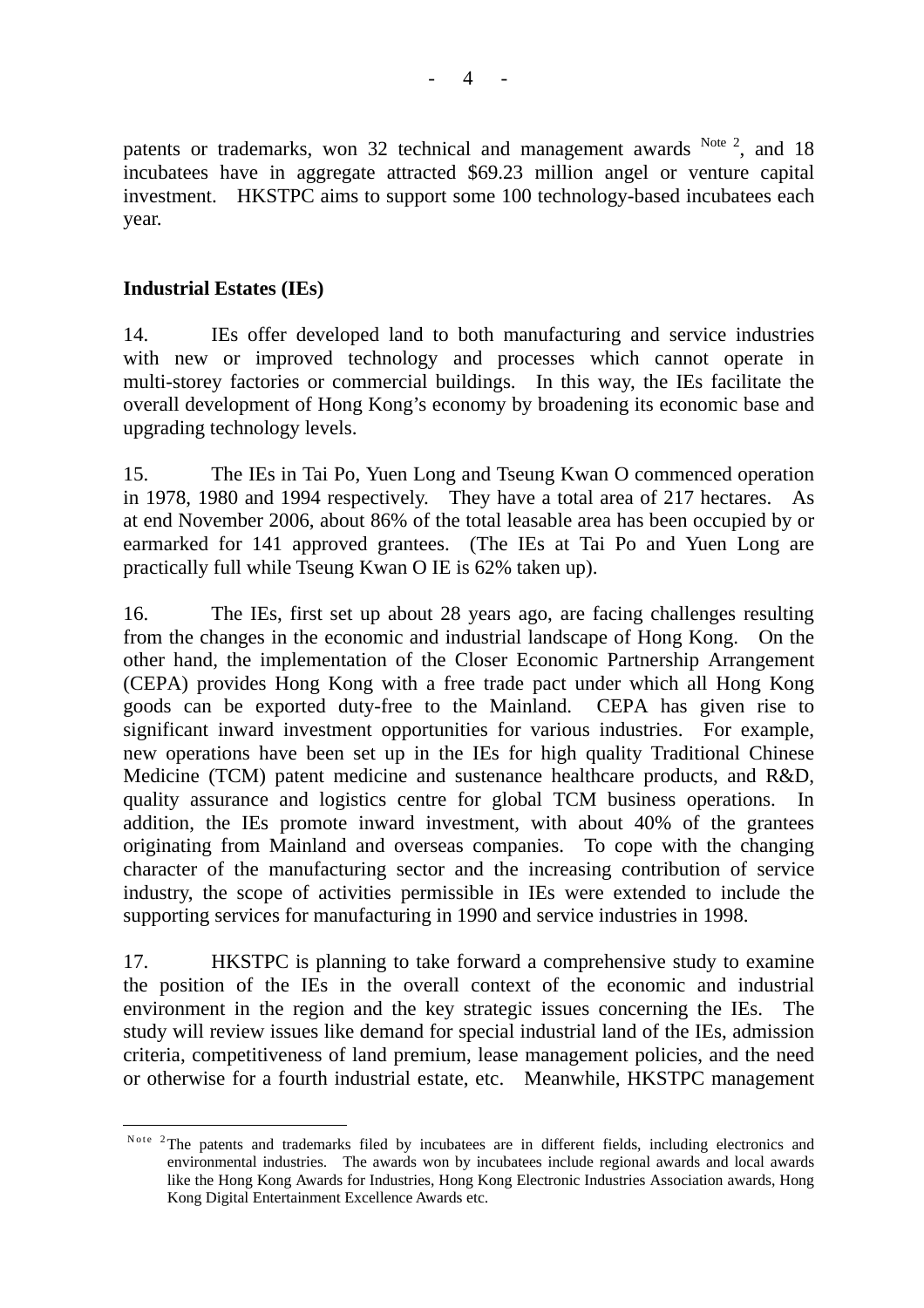patents or trademarks, won 32 technical and management awards  $N^{ote~2}$ , and 18 incubatees have in aggregate attracted \$69.23 million angel or venture capital investment. HKSTPC aims to support some 100 technology-based incubatees each year.

# **Industrial Estates (IEs)**

 $\overline{a}$ 

14. IEs offer developed land to both manufacturing and service industries with new or improved technology and processes which cannot operate in multi-storey factories or commercial buildings. In this way, the IEs facilitate the overall development of Hong Kong's economy by broadening its economic base and upgrading technology levels.

15. The IEs in Tai Po, Yuen Long and Tseung Kwan O commenced operation in 1978, 1980 and 1994 respectively. They have a total area of 217 hectares. As at end November 2006, about 86% of the total leasable area has been occupied by or earmarked for 141 approved grantees. (The IEs at Tai Po and Yuen Long are practically full while Tseung Kwan O IE is 62% taken up).

16. The IEs, first set up about 28 years ago, are facing challenges resulting from the changes in the economic and industrial landscape of Hong Kong. On the other hand, the implementation of the Closer Economic Partnership Arrangement (CEPA) provides Hong Kong with a free trade pact under which all Hong Kong goods can be exported duty-free to the Mainland. CEPA has given rise to significant inward investment opportunities for various industries. For example, new operations have been set up in the IEs for high quality Traditional Chinese Medicine (TCM) patent medicine and sustenance healthcare products, and R&D, quality assurance and logistics centre for global TCM business operations. In addition, the IEs promote inward investment, with about 40% of the grantees originating from Mainland and overseas companies. To cope with the changing character of the manufacturing sector and the increasing contribution of service industry, the scope of activities permissible in IEs were extended to include the supporting services for manufacturing in 1990 and service industries in 1998.

17. HKSTPC is planning to take forward a comprehensive study to examine the position of the IEs in the overall context of the economic and industrial environment in the region and the key strategic issues concerning the IEs. The study will review issues like demand for special industrial land of the IEs, admission criteria, competitiveness of land premium, lease management policies, and the need or otherwise for a fourth industrial estate, etc. Meanwhile, HKSTPC management

Note <sup>2</sup>The patents and trademarks filed by incubatees are in different fields, including electronics and environmental industries. The awards won by incubatees include regional awards and local awards like the Hong Kong Awards for Industries, Hong Kong Electronic Industries Association awards, Hong Kong Digital Entertainment Excellence Awards etc.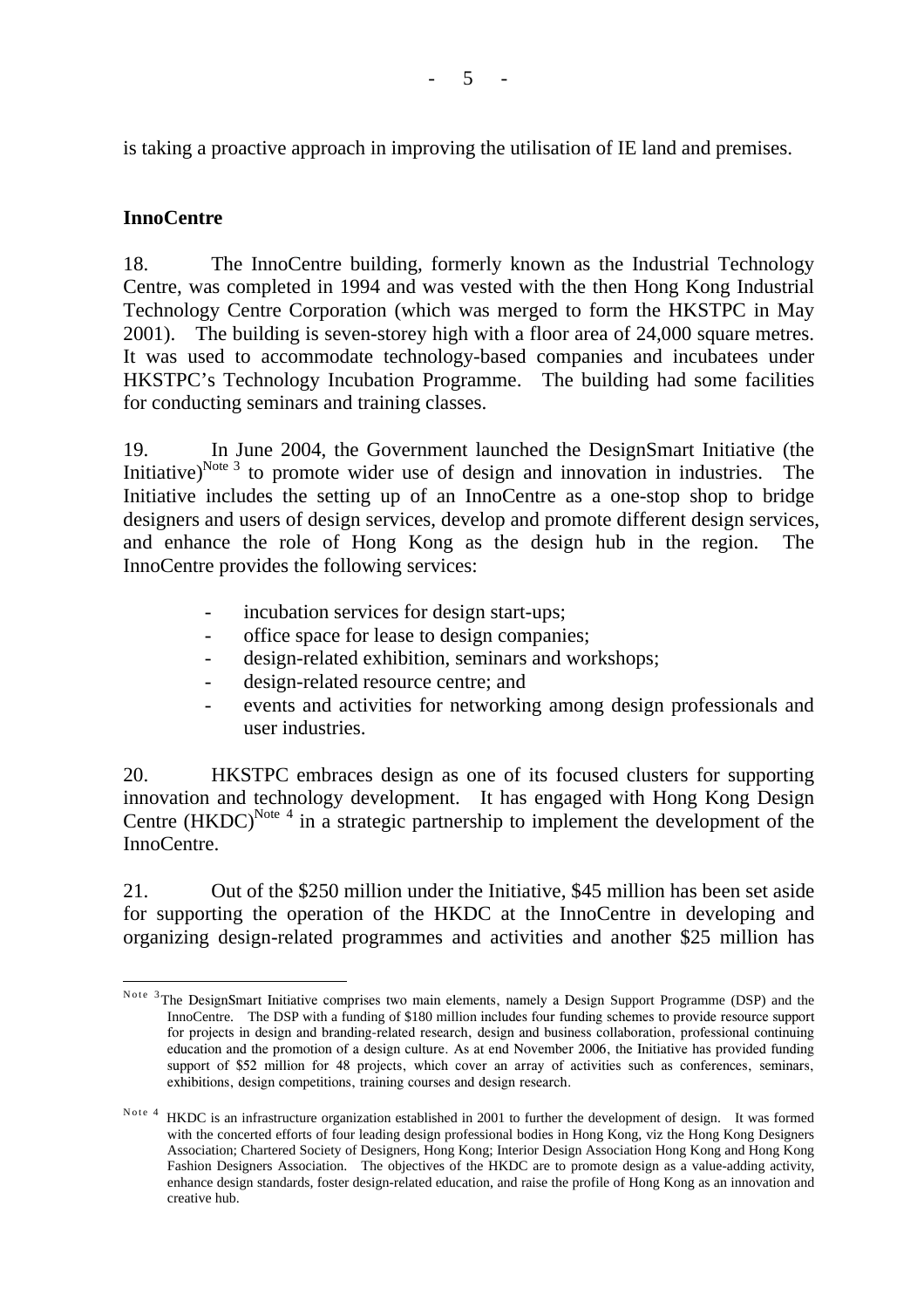is taking a proactive approach in improving the utilisation of IE land and premises.

## **InnoCentre**

 $\overline{a}$ 

18. The InnoCentre building, formerly known as the Industrial Technology Centre, was completed in 1994 and was vested with the then Hong Kong Industrial Technology Centre Corporation (which was merged to form the HKSTPC in May 2001). The building is seven-storey high with a floor area of 24,000 square metres. It was used to accommodate technology-based companies and incubatees under HKSTPC's Technology Incubation Programme. The building had some facilities for conducting seminars and training classes.

19. In June 2004, the Government launched the DesignSmart Initiative (the Initiative)<sup>Note 3</sup> to promote wider use of design and innovation in industries. The Initiative includes the setting up of an InnoCentre as a one-stop shop to bridge designers and users of design services, develop and promote different design services, and enhance the role of Hong Kong as the design hub in the region. The InnoCentre provides the following services:

- incubation services for design start-ups;
- office space for lease to design companies;
- design-related exhibition, seminars and workshops;
- design-related resource centre; and
- events and activities for networking among design professionals and user industries.

20. HKSTPC embraces design as one of its focused clusters for supporting innovation and technology development. It has engaged with Hong Kong Design Centre  $(HKDC)^{Note 4}$  in a strategic partnership to implement the development of the InnoCentre.

21. Out of the \$250 million under the Initiative, \$45 million has been set aside for supporting the operation of the HKDC at the InnoCentre in developing and organizing design-related programmes and activities and another \$25 million has

Note <sup>3</sup>The DesignSmart Initiative comprises two main elements, namely a Design Support Programme (DSP) and the InnoCentre. The DSP with a funding of \$180 million includes four funding schemes to provide resource support for projects in design and branding-related research, design and business collaboration, professional continuing education and the promotion of a design culture. As at end November 2006, the Initiative has provided funding support of \$52 million for 48 projects, which cover an array of activities such as conferences, seminars, exhibitions, design competitions, training courses and design research.

Note 4 HKDC is an infrastructure organization established in 2001 to further the development of design. It was formed with the concerted efforts of four leading design professional bodies in Hong Kong, viz the Hong Kong Designers Association; Chartered Society of Designers, Hong Kong; Interior Design Association Hong Kong and Hong Kong Fashion Designers Association. The objectives of the HKDC are to promote design as a value-adding activity, enhance design standards, foster design-related education, and raise the profile of Hong Kong as an innovation and creative hub.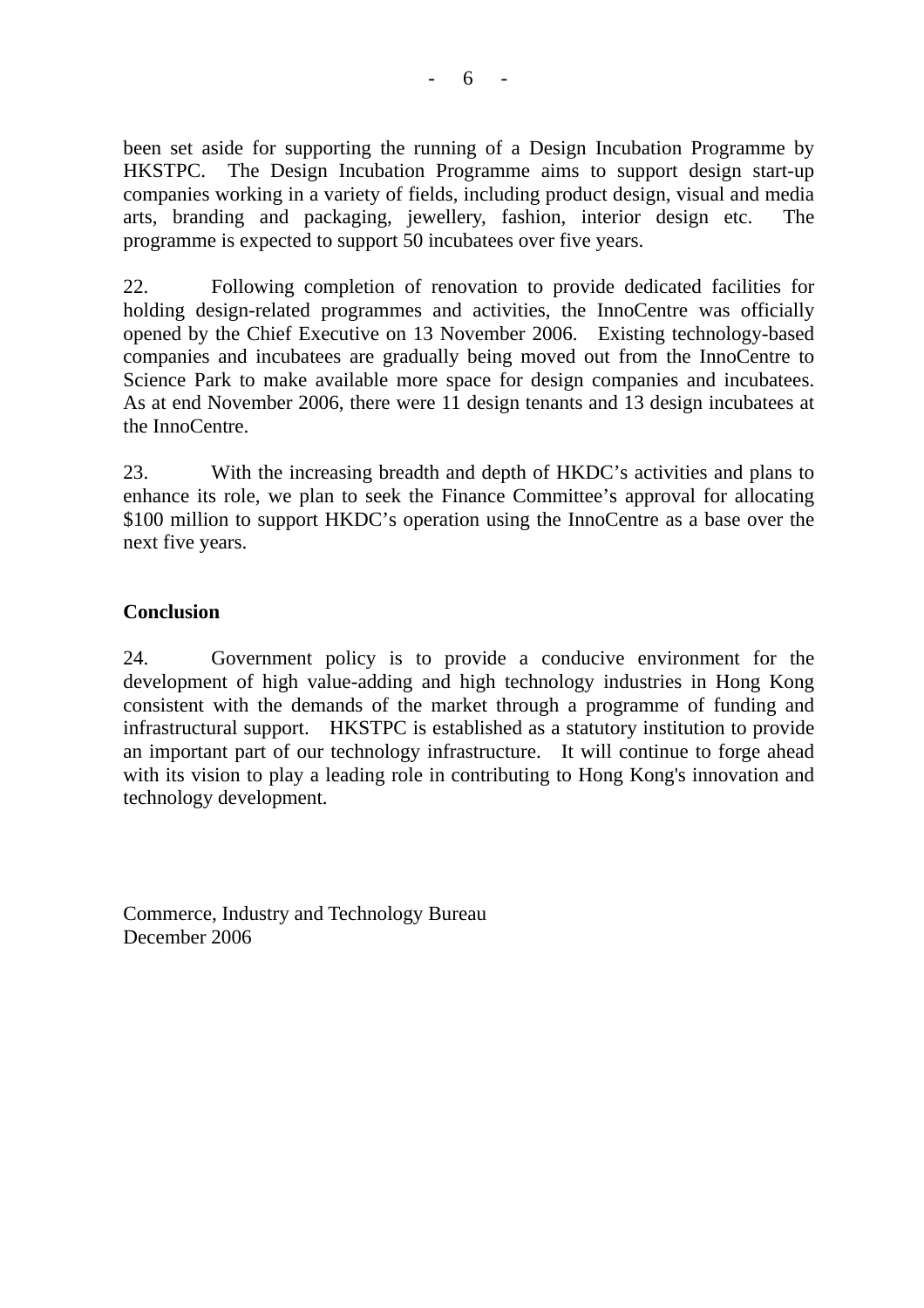been set aside for supporting the running of a Design Incubation Programme by HKSTPC. The Design Incubation Programme aims to support design start-up companies working in a variety of fields, including product design, visual and media arts, branding and packaging, jewellery, fashion, interior design etc. The programme is expected to support 50 incubatees over five years.

22. Following completion of renovation to provide dedicated facilities for holding design-related programmes and activities, the InnoCentre was officially opened by the Chief Executive on 13 November 2006. Existing technology-based companies and incubatees are gradually being moved out from the InnoCentre to Science Park to make available more space for design companies and incubatees. As at end November 2006, there were 11 design tenants and 13 design incubatees at the InnoCentre.

23. With the increasing breadth and depth of HKDC's activities and plans to enhance its role, we plan to seek the Finance Committee's approval for allocating \$100 million to support HKDC's operation using the InnoCentre as a base over the next five years.

## **Conclusion**

24. Government policy is to provide a conducive environment for the development of high value-adding and high technology industries in Hong Kong consistent with the demands of the market through a programme of funding and infrastructural support. HKSTPC is established as a statutory institution to provide an important part of our technology infrastructure. It will continue to forge ahead with its vision to play a leading role in contributing to Hong Kong's innovation and technology development.

Commerce, Industry and Technology Bureau December 2006